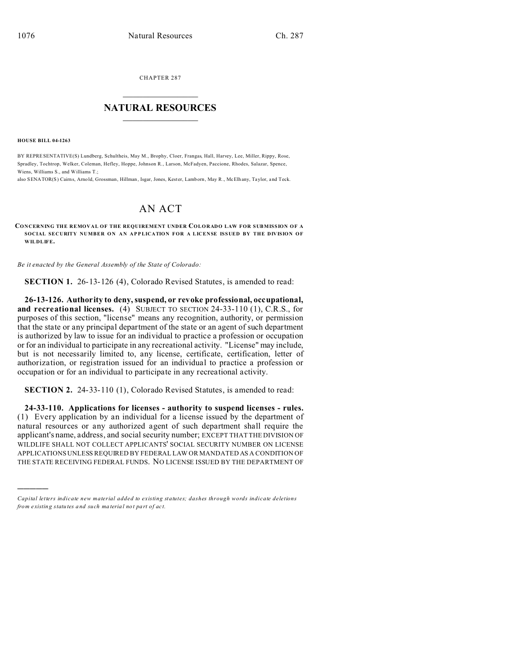CHAPTER 287  $\overline{\phantom{a}}$  , where  $\overline{\phantom{a}}$ 

## **NATURAL RESOURCES**  $\frac{1}{\sqrt{2}}$  ,  $\frac{1}{\sqrt{2}}$  ,  $\frac{1}{\sqrt{2}}$  ,  $\frac{1}{\sqrt{2}}$  ,  $\frac{1}{\sqrt{2}}$  ,  $\frac{1}{\sqrt{2}}$

**HOUSE BILL 04-1263**

)))))

BY REPRESENTATIVE(S) Lundberg, Schultheis, May M., Brophy, Cloer, Frangas, Hall, Harvey, Lee, Miller, Rippy, Rose, Spradley, Tochtrop, Welker, Coleman, Hefley, Hoppe, Johnson R., Larson, McFadyen, Paccione, Rhodes, Salazar, Spence, Wiens, Williams S., and Williams T.;

also SENATOR(S) Cairns, Arno ld, Grossman, Hillman, Isgar, Jones, Kester, Lamborn, May R., McElhany, Taylor, and Teck.

## AN ACT

**CONCERNING THE REMOVAL OF THE REQUIREMENT UNDER COLORADO LAW FOR SUBMISSION OF A SOCIAL SECURITY NUMBER ON AN APPLICATION FOR A LICENSE ISSUED BY THE DIVISION OF WILDLIFE.**

*Be it enacted by the General Assembly of the State of Colorado:*

**SECTION 1.** 26-13-126 (4), Colorado Revised Statutes, is amended to read:

**26-13-126. Authority to deny, suspend, or revoke professional, occupational, and recreational licenses.** (4) SUBJECT TO SECTION 24-33-110 (1), C.R.S., for purposes of this section, "license" means any recognition, authority, or permission that the state or any principal department of the state or an agent of such department is authorized by law to issue for an individual to practice a profession or occupation or for an individual to participate in any recreational activity. "License" may include, but is not necessarily limited to, any license, certificate, certification, letter of authorization, or registration issued for an individual to practice a profession or occupation or for an individual to participate in any recreational activity.

**SECTION 2.** 24-33-110 (1), Colorado Revised Statutes, is amended to read:

**24-33-110. Applications for licenses - authority to suspend licenses - rules.** (1) Every application by an individual for a license issued by the department of natural resources or any authorized agent of such department shall require the applicant's name, address, and social security number; EXCEPT THAT THE DIVISION OF WILDLIFE SHALL NOT COLLECT APPLICANTS' SOCIAL SECURITY NUMBER ON LICENSE APPLICATIONS UNLESS REQUIRED BY FEDERAL LAW OR MANDATED AS A CONDITION OF THE STATE RECEIVING FEDERAL FUNDS. NO LICENSE ISSUED BY THE DEPARTMENT OF

*Capital letters indicate new material added to existing statutes; dashes through words indicate deletions from e xistin g statu tes a nd such ma teria l no t pa rt of ac t.*